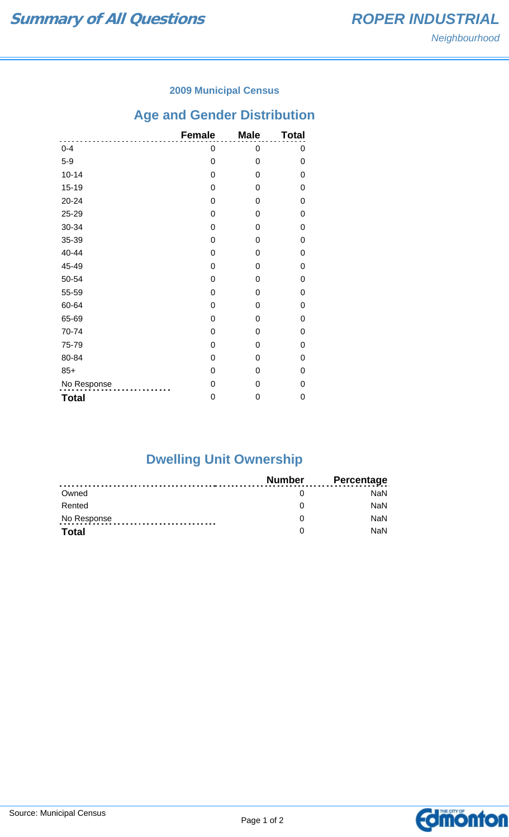### **2009 Municipal Census**

# **Age and Gender Distribution**

|              | <b>Female</b> | <b>Male</b> | <b>Total</b> |
|--------------|---------------|-------------|--------------|
| $0 - 4$      | 0             | 0           | 0            |
| $5-9$        | 0             | 0           | 0            |
| $10 - 14$    | 0             | 0           | 0            |
| $15 - 19$    | 0             | 0           | 0            |
| $20 - 24$    | 0             | 0           | 0            |
| 25-29        | 0             | 0           | 0            |
| 30-34        | 0             | 0           | 0            |
| 35-39        | 0             | 0           | 0            |
| 40-44        | 0             | 0           | 0            |
| 45-49        | 0             | 0           | 0            |
| 50-54        | 0             | 0           | 0            |
| 55-59        | 0             | 0           | 0            |
| 60-64        | 0             | 0           | 0            |
| 65-69        | 0             | 0           | 0            |
| 70-74        | 0             | 0           | 0            |
| 75-79        | 0             | 0           | 0            |
| 80-84        | 0             | 0           | 0            |
| $85+$        | 0             | 0           | 0            |
| No Response  | 0             | 0           | 0            |
| <b>Total</b> | 0             | 0           | 0            |

# **Dwelling Unit Ownership**

|              | Number | <b>Percentage</b> |
|--------------|--------|-------------------|
| Owned        |        | NaN.              |
| Rented       |        | <b>NaN</b>        |
| No Response  |        | <b>NaN</b>        |
| <b>Total</b> |        | <b>NaN</b>        |